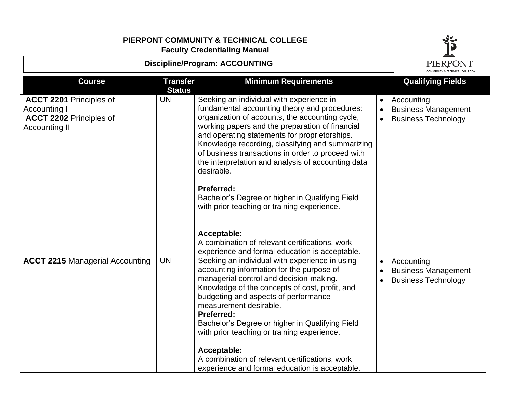

| <b>Discipline/Program: ACCOUNTING</b>                                                                    |                                  |                                                                                                                                                                                                                                                                                                                                                                                                                                                                                                      |                                     | <b>PIERPONT</b>                                                        |
|----------------------------------------------------------------------------------------------------------|----------------------------------|------------------------------------------------------------------------------------------------------------------------------------------------------------------------------------------------------------------------------------------------------------------------------------------------------------------------------------------------------------------------------------------------------------------------------------------------------------------------------------------------------|-------------------------------------|------------------------------------------------------------------------|
| <b>Course</b>                                                                                            | <b>Transfer</b><br><b>Status</b> | <b>Minimum Requirements</b>                                                                                                                                                                                                                                                                                                                                                                                                                                                                          |                                     | <b>Qualifying Fields</b>                                               |
| <b>ACCT 2201 Principles of</b><br>Accounting I<br><b>ACCT 2202 Principles of</b><br><b>Accounting II</b> | <b>UN</b>                        | Seeking an individual with experience in<br>fundamental accounting theory and procedures:<br>organization of accounts, the accounting cycle,<br>working papers and the preparation of financial<br>and operating statements for proprietorships.<br>Knowledge recording, classifying and summarizing<br>of business transactions in order to proceed with<br>the interpretation and analysis of accounting data<br>desirable.                                                                        | $\bullet$<br>$\bullet$<br>$\bullet$ | Accounting<br><b>Business Management</b><br><b>Business Technology</b> |
|                                                                                                          |                                  | <b>Preferred:</b><br>Bachelor's Degree or higher in Qualifying Field<br>with prior teaching or training experience.<br>Acceptable:<br>A combination of relevant certifications, work<br>experience and formal education is acceptable.                                                                                                                                                                                                                                                               |                                     |                                                                        |
| <b>ACCT 2215 Managerial Accounting</b>                                                                   | <b>UN</b>                        | Seeking an individual with experience in using<br>accounting information for the purpose of<br>managerial control and decision-making.<br>Knowledge of the concepts of cost, profit, and<br>budgeting and aspects of performance<br>measurement desirable.<br><b>Preferred:</b><br>Bachelor's Degree or higher in Qualifying Field<br>with prior teaching or training experience.<br>Acceptable:<br>A combination of relevant certifications, work<br>experience and formal education is acceptable. | $\bullet$<br>$\bullet$<br>$\bullet$ | Accounting<br><b>Business Management</b><br><b>Business Technology</b> |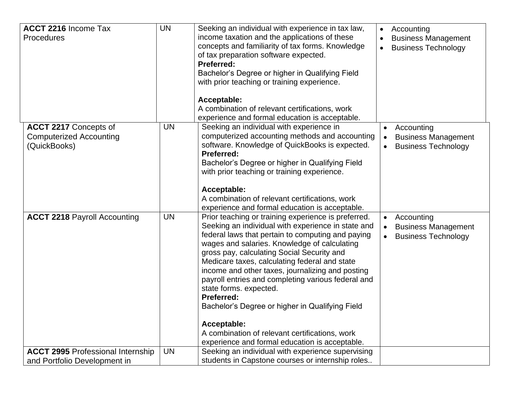| <b>ACCT 2216 Income Tax</b><br>Procedures                                | <b>UN</b> | Seeking an individual with experience in tax law,<br>income taxation and the applications of these<br>concepts and familiarity of tax forms. Knowledge<br>of tax preparation software expected.<br><b>Preferred:</b><br>Bachelor's Degree or higher in Qualifying Field<br>with prior teaching or training experience.<br>Acceptable:<br>A combination of relevant certifications, work<br>experience and formal education is acceptable.                                                                                                                                                                                                    | Accounting<br>$\bullet$<br><b>Business Management</b><br><b>Business Technology</b><br>$\bullet$              |
|--------------------------------------------------------------------------|-----------|----------------------------------------------------------------------------------------------------------------------------------------------------------------------------------------------------------------------------------------------------------------------------------------------------------------------------------------------------------------------------------------------------------------------------------------------------------------------------------------------------------------------------------------------------------------------------------------------------------------------------------------------|---------------------------------------------------------------------------------------------------------------|
| ACCT 2217 Concepts of<br><b>Computerized Accounting</b><br>(QuickBooks)  | <b>UN</b> | Seeking an individual with experience in<br>computerized accounting methods and accounting<br>software. Knowledge of QuickBooks is expected.<br><b>Preferred:</b><br>Bachelor's Degree or higher in Qualifying Field<br>with prior teaching or training experience.<br>Acceptable:<br>A combination of relevant certifications, work<br>experience and formal education is acceptable.                                                                                                                                                                                                                                                       | • Accounting<br><b>Business Management</b><br>$\bullet$<br><b>Business Technology</b>                         |
| <b>ACCT 2218 Payroll Accounting</b>                                      | <b>UN</b> | Prior teaching or training experience is preferred.<br>Seeking an individual with experience in state and<br>federal laws that pertain to computing and paying<br>wages and salaries. Knowledge of calculating<br>gross pay, calculating Social Security and<br>Medicare taxes, calculating federal and state<br>income and other taxes, journalizing and posting<br>payroll entries and completing various federal and<br>state forms. expected.<br><b>Preferred:</b><br>Bachelor's Degree or higher in Qualifying Field<br>Acceptable:<br>A combination of relevant certifications, work<br>experience and formal education is acceptable. | Accounting<br>$\bullet$<br><b>Business Management</b><br>$\bullet$<br><b>Business Technology</b><br>$\bullet$ |
| <b>ACCT 2995 Professional Internship</b><br>and Portfolio Development in | <b>UN</b> | Seeking an individual with experience supervising<br>students in Capstone courses or internship roles                                                                                                                                                                                                                                                                                                                                                                                                                                                                                                                                        |                                                                                                               |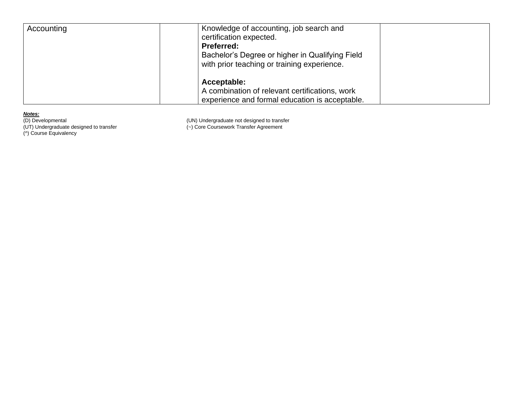| Accounting | Knowledge of accounting, job search and<br>certification expected.<br><b>Preferred:</b><br>Bachelor's Degree or higher in Qualifying Field<br>with prior teaching or training experience. |  |
|------------|-------------------------------------------------------------------------------------------------------------------------------------------------------------------------------------------|--|
|            | Acceptable:<br>A combination of relevant certifications, work<br>experience and formal education is acceptable.                                                                           |  |

*Notes:* (^) Course Equivalency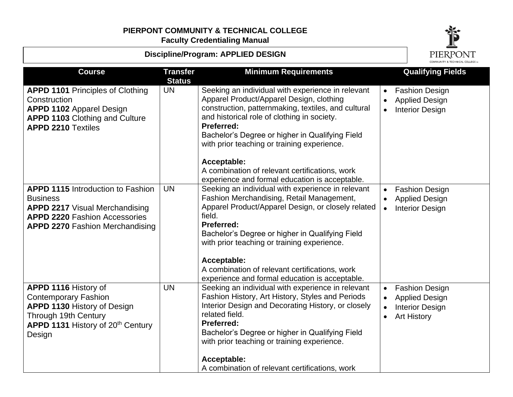#### **Discipline/Program: APPLIED DESIGN**



|                                                                                                                                                                                        | COMMUNITY & TECHNICAL COLLEGE IM |                                                                                                                                                                                                                                                                                                                                                                                                          |                                                                                                                          |
|----------------------------------------------------------------------------------------------------------------------------------------------------------------------------------------|----------------------------------|----------------------------------------------------------------------------------------------------------------------------------------------------------------------------------------------------------------------------------------------------------------------------------------------------------------------------------------------------------------------------------------------------------|--------------------------------------------------------------------------------------------------------------------------|
| <b>Course</b>                                                                                                                                                                          | <b>Transfer</b><br><b>Status</b> | <b>Minimum Requirements</b>                                                                                                                                                                                                                                                                                                                                                                              | <b>Qualifying Fields</b>                                                                                                 |
| <b>APPD 1101 Principles of Clothing</b><br>Construction<br><b>APPD 1102 Apparel Design</b><br><b>APPD 1103 Clothing and Culture</b><br><b>APPD 2210 Textiles</b>                       | <b>UN</b>                        | Seeking an individual with experience in relevant<br>Apparel Product/Apparel Design, clothing<br>construction, patternmaking, textiles, and cultural<br>and historical role of clothing in society.<br><b>Preferred:</b><br>Bachelor's Degree or higher in Qualifying Field<br>with prior teaching or training experience.                                                                               | <b>Fashion Design</b><br>$\bullet$<br><b>Applied Design</b><br><b>Interior Design</b><br>$\bullet$                       |
|                                                                                                                                                                                        |                                  | Acceptable:<br>A combination of relevant certifications, work<br>experience and formal education is acceptable.                                                                                                                                                                                                                                                                                          |                                                                                                                          |
| <b>APPD 1115 Introduction to Fashion</b><br><b>Business</b><br><b>APPD 2217</b> Visual Merchandising<br><b>APPD 2220 Fashion Accessories</b><br><b>APPD 2270 Fashion Merchandising</b> | <b>UN</b>                        | Seeking an individual with experience in relevant<br>Fashion Merchandising, Retail Management,<br>Apparel Product/Apparel Design, or closely related<br>field.<br><b>Preferred:</b><br>Bachelor's Degree or higher in Qualifying Field<br>with prior teaching or training experience.<br>Acceptable:<br>A combination of relevant certifications, work<br>experience and formal education is acceptable. | <b>Fashion Design</b><br><b>Applied Design</b><br><b>Interior Design</b><br>$\bullet$                                    |
| APPD 1116 History of<br><b>Contemporary Fashion</b><br><b>APPD 1130 History of Design</b><br>Through 19th Century<br>APPD 1131 History of 20 <sup>th</sup> Century<br>Design           | <b>UN</b>                        | Seeking an individual with experience in relevant<br>Fashion History, Art History, Styles and Periods<br>Interior Design and Decorating History, or closely<br>related field.<br><b>Preferred:</b><br>Bachelor's Degree or higher in Qualifying Field<br>with prior teaching or training experience.<br>Acceptable:<br>A combination of relevant certifications, work                                    | <b>Fashion Design</b><br>$\bullet$<br><b>Applied Design</b><br><b>Interior Design</b><br><b>Art History</b><br>$\bullet$ |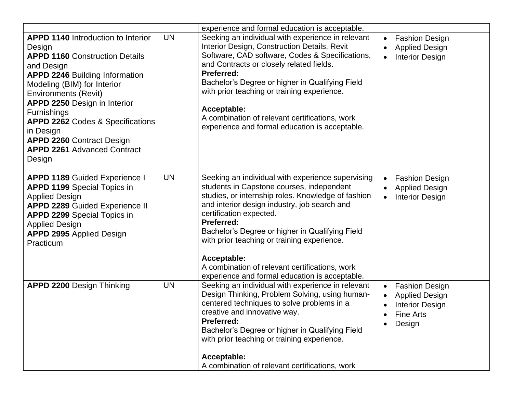|                                                                                                                                                                                                                                                                                                                                                                                                                         |           | experience and formal education is acceptable.                                                                                                                                                                                                                                                                                                                                                                                                                            |                                                                                                                                        |
|-------------------------------------------------------------------------------------------------------------------------------------------------------------------------------------------------------------------------------------------------------------------------------------------------------------------------------------------------------------------------------------------------------------------------|-----------|---------------------------------------------------------------------------------------------------------------------------------------------------------------------------------------------------------------------------------------------------------------------------------------------------------------------------------------------------------------------------------------------------------------------------------------------------------------------------|----------------------------------------------------------------------------------------------------------------------------------------|
| <b>APPD 1140</b> Introduction to Interior<br>Design<br><b>APPD 1160 Construction Details</b><br>and Design<br><b>APPD 2246 Building Information</b><br>Modeling (BIM) for Interior<br><b>Environments (Revit)</b><br>APPD 2250 Design in Interior<br><b>Furnishings</b><br><b>APPD 2262 Codes &amp; Specifications</b><br>in Design<br><b>APPD 2260 Contract Design</b><br><b>APPD 2261 Advanced Contract</b><br>Design | <b>UN</b> | Seeking an individual with experience in relevant<br>Interior Design, Construction Details, Revit<br>Software, CAD software, Codes & Specifications,<br>and Contracts or closely related fields.<br><b>Preferred:</b><br>Bachelor's Degree or higher in Qualifying Field<br>with prior teaching or training experience.<br>Acceptable:<br>A combination of relevant certifications, work<br>experience and formal education is acceptable.                                | <b>Fashion Design</b><br>$\bullet$<br><b>Applied Design</b><br>$\bullet$<br><b>Interior Design</b><br>$\bullet$                        |
| <b>APPD 1189 Guided Experience I</b><br><b>APPD 1199</b> Special Topics in<br><b>Applied Design</b><br><b>APPD 2289 Guided Experience II</b><br><b>APPD 2299 Special Topics in</b><br><b>Applied Design</b><br><b>APPD 2995 Applied Design</b><br>Practicum                                                                                                                                                             | <b>UN</b> | Seeking an individual with experience supervising<br>students in Capstone courses, independent<br>studies, or internship roles. Knowledge of fashion<br>and interior design industry, job search and<br>certification expected.<br><b>Preferred:</b><br>Bachelor's Degree or higher in Qualifying Field<br>with prior teaching or training experience.<br>Acceptable:<br>A combination of relevant certifications, work<br>experience and formal education is acceptable. | <b>Fashion Design</b><br>$\bullet$<br><b>Applied Design</b><br>$\bullet$<br><b>Interior Design</b><br>$\bullet$                        |
| <b>APPD 2200 Design Thinking</b>                                                                                                                                                                                                                                                                                                                                                                                        | <b>UN</b> | Seeking an individual with experience in relevant<br>Design Thinking, Problem Solving, using human-<br>centered techniques to solve problems in a<br>creative and innovative way.<br>Preferred:<br>Bachelor's Degree or higher in Qualifying Field<br>with prior teaching or training experience.<br>Acceptable:<br>A combination of relevant certifications, work                                                                                                        | <b>Fashion Design</b><br>$\bullet$<br><b>Applied Design</b><br>$\bullet$<br><b>Interior Design</b><br>$\bullet$<br>Fine Arts<br>Design |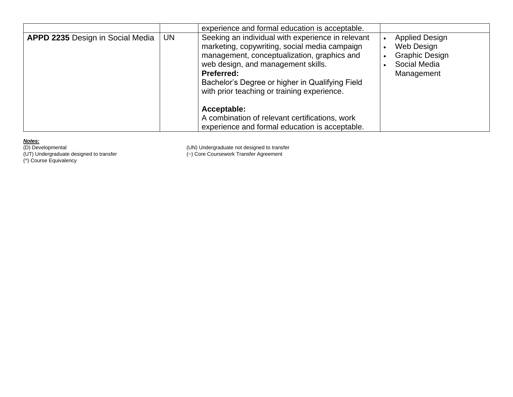|                                  |    | experience and formal education is acceptable.                                                                                                                                                                                                                                                                 |                                                                                            |
|----------------------------------|----|----------------------------------------------------------------------------------------------------------------------------------------------------------------------------------------------------------------------------------------------------------------------------------------------------------------|--------------------------------------------------------------------------------------------|
| APPD 2235 Design in Social Media | UN | Seeking an individual with experience in relevant<br>marketing, copywriting, social media campaign<br>management, conceptualization, graphics and<br>web design, and management skills.<br><b>Preferred:</b><br>Bachelor's Degree or higher in Qualifying Field<br>with prior teaching or training experience. | <b>Applied Design</b><br>Web Design<br><b>Graphic Design</b><br>Social Media<br>Management |
|                                  |    | Acceptable:<br>A combination of relevant certifications, work<br>experience and formal education is acceptable.                                                                                                                                                                                                |                                                                                            |

(^) Course Equivalency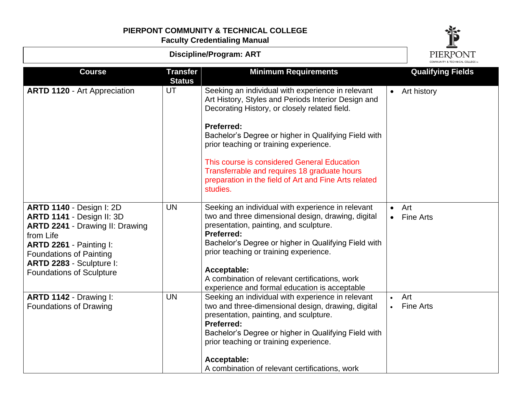

| <b>Discipline/Program: ART</b>                                                                                                                                                                                                                  |                                  |                                                                                                                                                                                                                                                                                                                                                                                                                                               |                        | PIERPONT                 |
|-------------------------------------------------------------------------------------------------------------------------------------------------------------------------------------------------------------------------------------------------|----------------------------------|-----------------------------------------------------------------------------------------------------------------------------------------------------------------------------------------------------------------------------------------------------------------------------------------------------------------------------------------------------------------------------------------------------------------------------------------------|------------------------|--------------------------|
| <b>Course</b>                                                                                                                                                                                                                                   | <b>Transfer</b><br><b>Status</b> | <b>Minimum Requirements</b>                                                                                                                                                                                                                                                                                                                                                                                                                   |                        | <b>Qualifying Fields</b> |
| <b>ARTD 1120 - Art Appreciation</b>                                                                                                                                                                                                             | UT                               | Seeking an individual with experience in relevant<br>Art History, Styles and Periods Interior Design and<br>Decorating History, or closely related field.<br>Preferred:<br>Bachelor's Degree or higher in Qualifying Field with<br>prior teaching or training experience.<br>This course is considered General Education<br>Transferrable and requires 18 graduate hours<br>preparation in the field of Art and Fine Arts related<br>studies. |                        | • Art history            |
| <b>ARTD 1140 - Design I: 2D</b><br>ARTD 1141 - Design II: 3D<br><b>ARTD 2241 - Drawing II: Drawing</b><br>from Life<br>ARTD 2261 - Painting I:<br><b>Foundations of Painting</b><br>ARTD 2283 - Sculpture I:<br><b>Foundations of Sculpture</b> | <b>UN</b>                        | Seeking an individual with experience in relevant<br>two and three dimensional design, drawing, digital<br>presentation, painting, and sculpture.<br>Preferred:<br>Bachelor's Degree or higher in Qualifying Field with<br>prior teaching or training experience.<br>Acceptable:<br>A combination of relevant certifications, work<br>experience and formal education is acceptable                                                           | $\bullet$<br>$\bullet$ | Art<br><b>Fine Arts</b>  |
| ARTD 1142 - Drawing I:<br><b>Foundations of Drawing</b>                                                                                                                                                                                         | <b>UN</b>                        | Seeking an individual with experience in relevant<br>two and three-dimensional design, drawing, digital<br>presentation, painting, and sculpture.<br><b>Preferred:</b><br>Bachelor's Degree or higher in Qualifying Field with<br>prior teaching or training experience.<br>Acceptable:<br>A combination of relevant certifications, work                                                                                                     | $\bullet$              | Art<br><b>Fine Arts</b>  |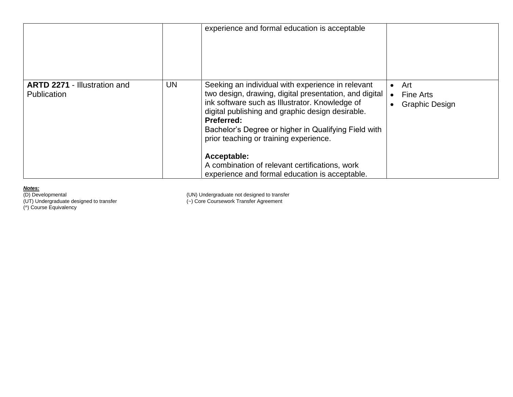|                                                    |    | experience and formal education is acceptable                                                                                                                                                                                                                                                                                                                                                                                                               |                                                               |
|----------------------------------------------------|----|-------------------------------------------------------------------------------------------------------------------------------------------------------------------------------------------------------------------------------------------------------------------------------------------------------------------------------------------------------------------------------------------------------------------------------------------------------------|---------------------------------------------------------------|
| <b>ARTD 2271 - Illustration and</b><br>Publication | UN | Seeking an individual with experience in relevant<br>two design, drawing, digital presentation, and digital<br>ink software such as Illustrator. Knowledge of<br>digital publishing and graphic design desirable.<br><b>Preferred:</b><br>Bachelor's Degree or higher in Qualifying Field with<br>prior teaching or training experience.<br>Acceptable:<br>A combination of relevant certifications, work<br>experience and formal education is acceptable. | Art<br>$\bullet$<br><b>Fine Arts</b><br><b>Graphic Design</b> |

(D) Developmental (UN) Undergraduate not designed to transfer

(UT) Undergraduate designed to transfer (~) Core Coursework Transfer Agreement

(^) Course Equivalency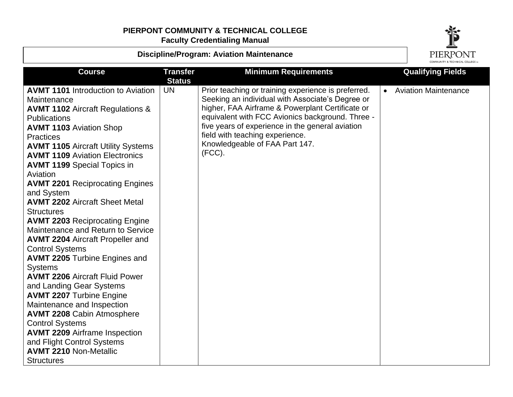

## **Discipline/Program: Aviation Maintenance**

| <b>Course</b>                               | <b>Transfer</b><br><b>Status</b> | <b>Minimum Requirements</b>                         | <b>Qualifying Fields</b> |
|---------------------------------------------|----------------------------------|-----------------------------------------------------|--------------------------|
| <b>AVMT 1101</b> Introduction to Aviation   | <b>UN</b>                        | Prior teaching or training experience is preferred. | • Aviation Maintenance   |
| Maintenance                                 |                                  | Seeking an individual with Associate's Degree or    |                          |
| <b>AVMT 1102 Aircraft Regulations &amp;</b> |                                  | higher, FAA Airframe & Powerplant Certificate or    |                          |
| <b>Publications</b>                         |                                  | equivalent with FCC Avionics background. Three -    |                          |
| <b>AVMT 1103 Aviation Shop</b>              |                                  | five years of experience in the general aviation    |                          |
| <b>Practices</b>                            |                                  | field with teaching experience.                     |                          |
| <b>AVMT 1105 Aircraft Utility Systems</b>   |                                  | Knowledgeable of FAA Part 147.                      |                          |
| <b>AVMT 1109 Aviation Electronics</b>       |                                  | $(FCC)$ .                                           |                          |
| <b>AVMT 1199 Special Topics in</b>          |                                  |                                                     |                          |
| Aviation                                    |                                  |                                                     |                          |
| <b>AVMT 2201 Reciprocating Engines</b>      |                                  |                                                     |                          |
| and System                                  |                                  |                                                     |                          |
| <b>AVMT 2202 Aircraft Sheet Metal</b>       |                                  |                                                     |                          |
| <b>Structures</b>                           |                                  |                                                     |                          |
| <b>AVMT 2203 Reciprocating Engine</b>       |                                  |                                                     |                          |
| Maintenance and Return to Service           |                                  |                                                     |                          |
| <b>AVMT 2204 Aircraft Propeller and</b>     |                                  |                                                     |                          |
| <b>Control Systems</b>                      |                                  |                                                     |                          |
| <b>AVMT 2205 Turbine Engines and</b>        |                                  |                                                     |                          |
| <b>Systems</b>                              |                                  |                                                     |                          |
| <b>AVMT 2206 Aircraft Fluid Power</b>       |                                  |                                                     |                          |
| and Landing Gear Systems                    |                                  |                                                     |                          |
| <b>AVMT 2207 Turbine Engine</b>             |                                  |                                                     |                          |
| Maintenance and Inspection                  |                                  |                                                     |                          |
| <b>AVMT 2208 Cabin Atmosphere</b>           |                                  |                                                     |                          |
| <b>Control Systems</b>                      |                                  |                                                     |                          |
| <b>AVMT 2209 Airframe Inspection</b>        |                                  |                                                     |                          |
| and Flight Control Systems                  |                                  |                                                     |                          |
| <b>AVMT 2210 Non-Metallic</b>               |                                  |                                                     |                          |
| <b>Structures</b>                           |                                  |                                                     |                          |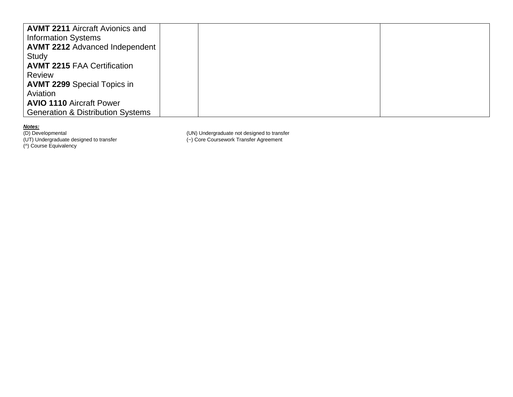| <b>AVMT 2211 Aircraft Avionics and</b>       |  |  |
|----------------------------------------------|--|--|
| <b>Information Systems</b>                   |  |  |
| <b>AVMT 2212 Advanced Independent</b>        |  |  |
| Study                                        |  |  |
| <b>AVMT 2215 FAA Certification</b>           |  |  |
| <b>Review</b>                                |  |  |
| <b>AVMT 2299 Special Topics in</b>           |  |  |
| Aviation                                     |  |  |
| <b>AVIO 1110 Aircraft Power</b>              |  |  |
| <b>Generation &amp; Distribution Systems</b> |  |  |

(UT) Undergraduate designed to transfer (~) Core Coursework Transfer Agreement

(^) Course Equivalency

(D) Developmental (UN) Undergraduate not designed to transfer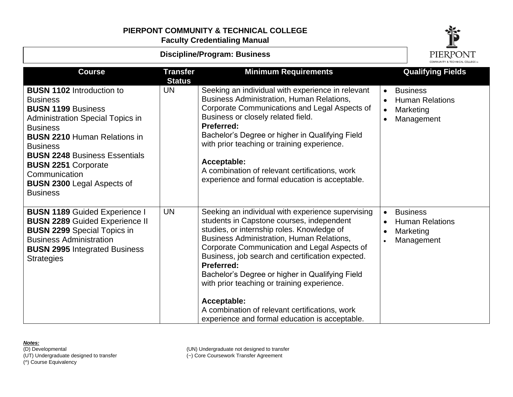# **PIERPONT COMMUNITY & TECHNICAL COLLEGE**

**Faculty Credentialing Manual**



| <b>Discipline/Program: Business</b>                                                                                                                                                                                                                                                                                                                     |                                  |                                                                                                                                                                                                                                                                                                                                                                                                                                                                                                                                                |                                                  | PIERPONT                                                             |
|---------------------------------------------------------------------------------------------------------------------------------------------------------------------------------------------------------------------------------------------------------------------------------------------------------------------------------------------------------|----------------------------------|------------------------------------------------------------------------------------------------------------------------------------------------------------------------------------------------------------------------------------------------------------------------------------------------------------------------------------------------------------------------------------------------------------------------------------------------------------------------------------------------------------------------------------------------|--------------------------------------------------|----------------------------------------------------------------------|
| <b>Course</b>                                                                                                                                                                                                                                                                                                                                           | <b>Transfer</b><br><b>Status</b> | <b>Minimum Requirements</b>                                                                                                                                                                                                                                                                                                                                                                                                                                                                                                                    |                                                  | <b>Qualifying Fields</b>                                             |
| <b>BUSN 1102</b> Introduction to<br><b>Business</b><br><b>BUSN 1199 Business</b><br><b>Administration Special Topics in</b><br><b>Business</b><br><b>BUSN 2210 Human Relations in</b><br><b>Business</b><br><b>BUSN 2248 Business Essentials</b><br><b>BUSN 2251 Corporate</b><br>Communication<br><b>BUSN 2300 Legal Aspects of</b><br><b>Business</b> | UN                               | Seeking an individual with experience in relevant<br><b>Business Administration, Human Relations,</b><br>Corporate Communications and Legal Aspects of<br>Business or closely related field.<br><b>Preferred:</b><br>Bachelor's Degree or higher in Qualifying Field<br>with prior teaching or training experience.<br>Acceptable:<br>A combination of relevant certifications, work<br>experience and formal education is acceptable.                                                                                                         | $\bullet$<br>$\bullet$<br>$\bullet$<br>$\bullet$ | <b>Business</b><br><b>Human Relations</b><br>Marketing<br>Management |
| <b>BUSN 1189 Guided Experience I</b><br><b>BUSN 2289 Guided Experience II</b><br><b>BUSN 2299 Special Topics in</b><br><b>Business Administration</b><br><b>BUSN 2995 Integrated Business</b><br><b>Strategies</b>                                                                                                                                      | <b>UN</b>                        | Seeking an individual with experience supervising<br>students in Capstone courses, independent<br>studies, or internship roles. Knowledge of<br><b>Business Administration, Human Relations,</b><br>Corporate Communication and Legal Aspects of<br>Business, job search and certification expected.<br><b>Preferred:</b><br>Bachelor's Degree or higher in Qualifying Field<br>with prior teaching or training experience.<br>Acceptable:<br>A combination of relevant certifications, work<br>experience and formal education is acceptable. | $\bullet$<br>$\bullet$<br>$\bullet$              | <b>Business</b><br><b>Human Relations</b><br>Marketing<br>Management |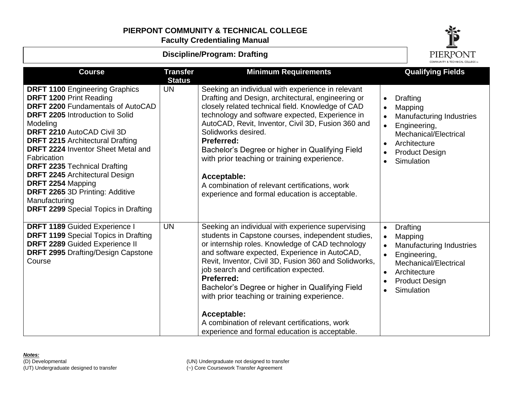## **PIERPONT COMMUNITY & TECHNICAL COLLEGE**

**Faculty Credentialing Manual**



| <b>Course</b>                                                                                                                                                                                                                                                                                                                                                                                                                                                                                            | <b>Transfer</b><br><b>Status</b> | <b>Minimum Requirements</b>                                                                                                                                                                                                                                                                                                                                                                                                                                                                                                                               | <b>Qualifying Fields</b>                                                                                                                                                                                                |
|----------------------------------------------------------------------------------------------------------------------------------------------------------------------------------------------------------------------------------------------------------------------------------------------------------------------------------------------------------------------------------------------------------------------------------------------------------------------------------------------------------|----------------------------------|-----------------------------------------------------------------------------------------------------------------------------------------------------------------------------------------------------------------------------------------------------------------------------------------------------------------------------------------------------------------------------------------------------------------------------------------------------------------------------------------------------------------------------------------------------------|-------------------------------------------------------------------------------------------------------------------------------------------------------------------------------------------------------------------------|
| <b>DRFT 1100 Engineering Graphics</b><br><b>DRFT 1200 Print Reading</b><br>DRFT 2200 Fundamentals of AutoCAD<br>DRFT 2205 Introduction to Solid<br>Modeling<br>DRFT 2210 AutoCAD Civil 3D<br><b>DRFT 2215</b> Architectural Drafting<br><b>DRFT 2224 Inventor Sheet Metal and</b><br>Fabrication<br><b>DRFT 2235 Technical Drafting</b><br><b>DRFT 2245 Architectural Design</b><br>DRFT 2254 Mapping<br>DRFT 2265 3D Printing: Additive<br>Manufacturing<br><b>DRFT 2299</b> Special Topics in Drafting | UN                               | Seeking an individual with experience in relevant<br>Drafting and Design, architectural, engineering or<br>closely related technical field. Knowledge of CAD<br>technology and software expected, Experience in<br>AutoCAD, Revit, Inventor, Civil 3D, Fusion 360 and<br>Solidworks desired.<br><b>Preferred:</b><br>Bachelor's Degree or higher in Qualifying Field<br>with prior teaching or training experience.<br>Acceptable:<br>A combination of relevant certifications, work<br>experience and formal education is acceptable.                    | <b>Drafting</b><br>$\bullet$<br>Mapping<br><b>Manufacturing Industries</b><br>Engineering,<br>$\bullet$<br>Mechanical/Electrical<br>Architecture<br>$\bullet$<br><b>Product Design</b><br>Simulation<br>$\bullet$       |
| DRFT 1189 Guided Experience I<br><b>DRFT 1199</b> Special Topics in Drafting<br>DRFT 2289 Guided Experience II<br><b>DRFT 2995 Drafting/Design Capstone</b><br>Course                                                                                                                                                                                                                                                                                                                                    | <b>UN</b>                        | Seeking an individual with experience supervising<br>students in Capstone courses, independent studies,<br>or internship roles. Knowledge of CAD technology<br>and software expected, Experience in AutoCAD,<br>Revit, Inventor, Civil 3D, Fusion 360 and Solidworks,<br>job search and certification expected.<br><b>Preferred:</b><br>Bachelor's Degree or higher in Qualifying Field<br>with prior teaching or training experience.<br>Acceptable:<br>A combination of relevant certifications, work<br>experience and formal education is acceptable. | Drafting<br>$\bullet$<br>Mapping<br>$\bullet$<br><b>Manufacturing Industries</b><br>Engineering,<br>$\bullet$<br>Mechanical/Electrical<br>Architecture<br>$\bullet$<br><b>Product Design</b><br>Simulation<br>$\bullet$ |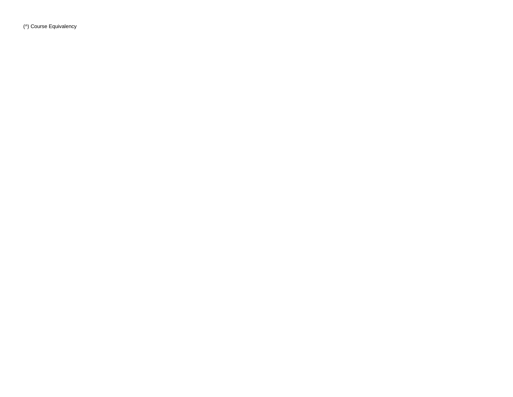(^) Course Equivalency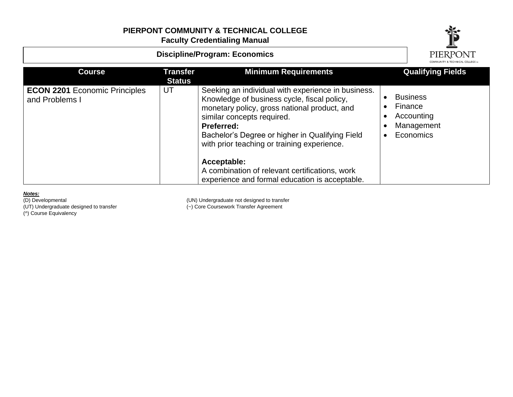

*Notes:*

(UT) Undergraduate designed to transfer (~) Core Coursework Transfer Agreement

(D) Developmental (UN) Undergraduate not designed to transfer

(^) Course Equivalency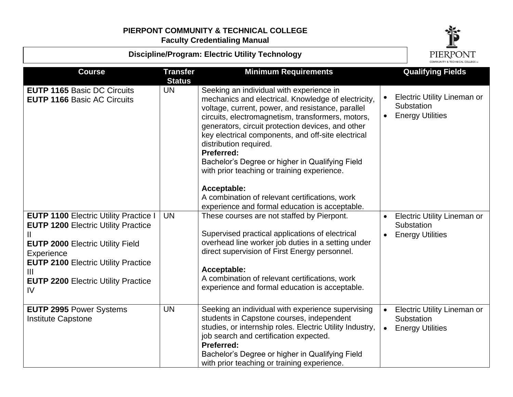**Discipline/Program: Electric Utility Technology**



|                                                                                                                                                                                                                                                                         |                                  |                                                                                                                                                                                                                                                                                                                                                                                                                                                                                                                                                                                   | COMMUNITY & TECHNICAL COLLEGETM                                                                       |
|-------------------------------------------------------------------------------------------------------------------------------------------------------------------------------------------------------------------------------------------------------------------------|----------------------------------|-----------------------------------------------------------------------------------------------------------------------------------------------------------------------------------------------------------------------------------------------------------------------------------------------------------------------------------------------------------------------------------------------------------------------------------------------------------------------------------------------------------------------------------------------------------------------------------|-------------------------------------------------------------------------------------------------------|
| <b>Course</b>                                                                                                                                                                                                                                                           | <b>Transfer</b><br><b>Status</b> | <b>Minimum Requirements</b>                                                                                                                                                                                                                                                                                                                                                                                                                                                                                                                                                       | <b>Qualifying Fields</b>                                                                              |
| <b>EUTP 1165 Basic DC Circuits</b><br><b>EUTP 1166 Basic AC Circuits</b>                                                                                                                                                                                                | <b>UN</b>                        | Seeking an individual with experience in<br>mechanics and electrical. Knowledge of electricity,<br>voltage, current, power, and resistance, parallel<br>circuits, electromagnetism, transformers, motors,<br>generators, circuit protection devices, and other<br>key electrical components, and off-site electrical<br>distribution required.<br>Preferred:<br>Bachelor's Degree or higher in Qualifying Field<br>with prior teaching or training experience.<br>Acceptable:<br>A combination of relevant certifications, work<br>experience and formal education is acceptable. | <b>Electric Utility Lineman or</b><br>Substation<br><b>Energy Utilities</b><br>$\bullet$              |
| <b>EUTP 1100 Electric Utility Practice I</b><br><b>EUTP 1200 Electric Utility Practice</b><br><b>EUTP 2000 Electric Utility Field</b><br>Experience<br><b>EUTP 2100 Electric Utility Practice</b><br>$\mathbf{III}$<br><b>EUTP 2200 Electric Utility Practice</b><br>IV | <b>UN</b>                        | These courses are not staffed by Pierpont.<br>Supervised practical applications of electrical<br>overhead line worker job duties in a setting under<br>direct supervision of First Energy personnel.<br>Acceptable:<br>A combination of relevant certifications, work<br>experience and formal education is acceptable.                                                                                                                                                                                                                                                           | <b>Electric Utility Lineman or</b><br>Substation<br><b>Energy Utilities</b>                           |
| <b>EUTP 2995 Power Systems</b><br><b>Institute Capstone</b>                                                                                                                                                                                                             | <b>UN</b>                        | Seeking an individual with experience supervising<br>students in Capstone courses, independent<br>studies, or internship roles. Electric Utility Industry,<br>job search and certification expected.<br><b>Preferred:</b><br>Bachelor's Degree or higher in Qualifying Field<br>with prior teaching or training experience.                                                                                                                                                                                                                                                       | <b>Electric Utility Lineman or</b><br>$\bullet$<br>Substation<br><b>Energy Utilities</b><br>$\bullet$ |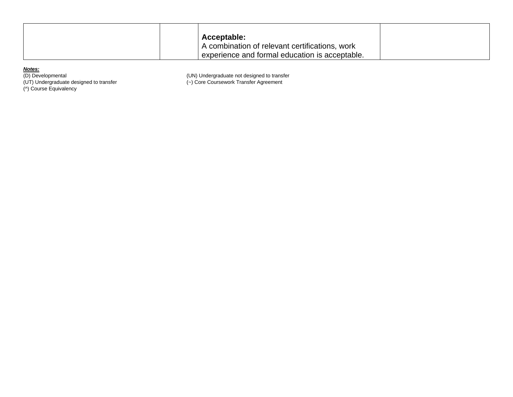|  | Acceptable:                                    |  |
|--|------------------------------------------------|--|
|  | A combination of relevant certifications, work |  |
|  | experience and formal education is acceptable. |  |

(^) Course Equivalency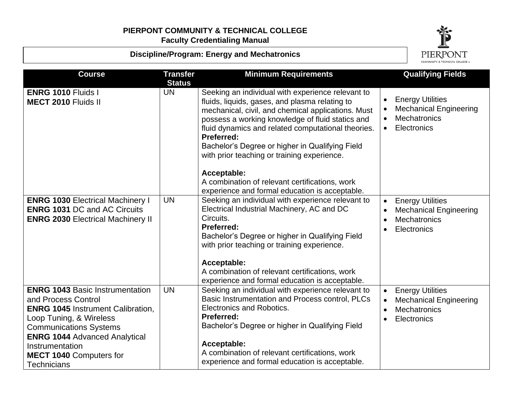**Discipline/Program: Energy and Mechatronics**



| <b>Course</b>                                                                                                                                                                                                                                                                            | <b>Transfer</b><br><b>Status</b> | <b>Minimum Requirements</b>                                                                                                                                                                                                                                                                                                                                                                                                                                                                                   | <b>Qualifying Fields</b>                                                                                                       |
|------------------------------------------------------------------------------------------------------------------------------------------------------------------------------------------------------------------------------------------------------------------------------------------|----------------------------------|---------------------------------------------------------------------------------------------------------------------------------------------------------------------------------------------------------------------------------------------------------------------------------------------------------------------------------------------------------------------------------------------------------------------------------------------------------------------------------------------------------------|--------------------------------------------------------------------------------------------------------------------------------|
| <b>ENRG 1010 Fluids I</b><br><b>MECT 2010 Fluids II</b>                                                                                                                                                                                                                                  | <b>UN</b>                        | Seeking an individual with experience relevant to<br>fluids, liquids, gases, and plasma relating to<br>mechanical, civil, and chemical applications. Must<br>possess a working knowledge of fluid statics and<br>fluid dynamics and related computational theories.<br><b>Preferred:</b><br>Bachelor's Degree or higher in Qualifying Field<br>with prior teaching or training experience.<br>Acceptable:<br>A combination of relevant certifications, work<br>experience and formal education is acceptable. | <b>Energy Utilities</b><br>$\bullet$<br><b>Mechanical Engineering</b><br>Mechatronics<br>$\bullet$<br>Electronics<br>$\bullet$ |
| <b>ENRG 1030 Electrical Machinery I</b><br><b>ENRG 1031 DC and AC Circuits</b><br><b>ENRG 2030 Electrical Machinery II</b>                                                                                                                                                               | <b>UN</b>                        | Seeking an individual with experience relevant to<br>Electrical Industrial Machinery, AC and DC<br>Circuits.<br><b>Preferred:</b><br>Bachelor's Degree or higher in Qualifying Field<br>with prior teaching or training experience.<br>Acceptable:<br>A combination of relevant certifications, work<br>experience and formal education is acceptable.                                                                                                                                                        | <b>Energy Utilities</b><br>$\bullet$<br><b>Mechanical Engineering</b><br><b>Mechatronics</b><br>Electronics                    |
| <b>ENRG 1043 Basic Instrumentation</b><br>and Process Control<br><b>ENRG 1045 Instrument Calibration,</b><br>Loop Tuning, & Wireless<br><b>Communications Systems</b><br><b>ENRG 1044 Advanced Analytical</b><br>Instrumentation<br><b>MECT 1040 Computers for</b><br><b>Technicians</b> | <b>UN</b>                        | Seeking an individual with experience relevant to<br>Basic Instrumentation and Process control, PLCs<br>Electronics and Robotics.<br><b>Preferred:</b><br>Bachelor's Degree or higher in Qualifying Field<br>Acceptable:<br>A combination of relevant certifications, work<br>experience and formal education is acceptable.                                                                                                                                                                                  | <b>Energy Utilities</b><br>$\bullet$<br><b>Mechanical Engineering</b><br><b>Mechatronics</b><br>$\bullet$<br>Electronics       |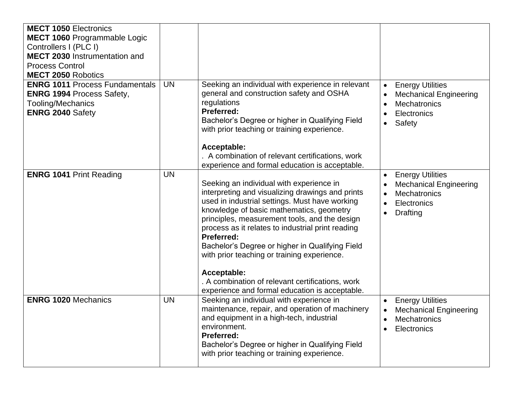| <b>MECT 1050 Electronics</b><br>MECT 1060 Programmable Logic<br>Controllers I (PLC I)<br><b>MECT 2030</b> Instrumentation and<br><b>Process Control</b><br><b>MECT 2050 Robotics</b> |           |                                                                                                                                                                                                                                                                                                                                                                                                                                                                                                                                            |                                                                                                                                |
|--------------------------------------------------------------------------------------------------------------------------------------------------------------------------------------|-----------|--------------------------------------------------------------------------------------------------------------------------------------------------------------------------------------------------------------------------------------------------------------------------------------------------------------------------------------------------------------------------------------------------------------------------------------------------------------------------------------------------------------------------------------------|--------------------------------------------------------------------------------------------------------------------------------|
| <b>ENRG 1011 Process Fundamentals</b><br><b>ENRG 1994 Process Safety,</b><br>Tooling/Mechanics<br><b>ENRG 2040 Safety</b>                                                            | <b>UN</b> | Seeking an individual with experience in relevant<br>general and construction safety and OSHA<br>regulations<br><b>Preferred:</b><br>Bachelor's Degree or higher in Qualifying Field<br>with prior teaching or training experience.<br>Acceptable:<br>A combination of relevant certifications, work<br>experience and formal education is acceptable.                                                                                                                                                                                     | <b>Energy Utilities</b><br>$\bullet$<br><b>Mechanical Engineering</b><br><b>Mechatronics</b><br>Electronics<br>Safety          |
| <b>ENRG 1041 Print Reading</b>                                                                                                                                                       | <b>UN</b> | Seeking an individual with experience in<br>interpreting and visualizing drawings and prints<br>used in industrial settings. Must have working<br>knowledge of basic mathematics, geometry<br>principles, measurement tools, and the design<br>process as it relates to industrial print reading<br><b>Preferred:</b><br>Bachelor's Degree or higher in Qualifying Field<br>with prior teaching or training experience.<br>Acceptable:<br>A combination of relevant certifications, work<br>experience and formal education is acceptable. | <b>Energy Utilities</b><br><b>Mechanical Engineering</b><br><b>Mechatronics</b><br>$\bullet$<br>Electronics<br><b>Drafting</b> |
| <b>ENRG 1020 Mechanics</b>                                                                                                                                                           | <b>UN</b> | Seeking an individual with experience in<br>maintenance, repair, and operation of machinery<br>and equipment in a high-tech, industrial<br>environment.<br><b>Preferred:</b><br>Bachelor's Degree or higher in Qualifying Field<br>with prior teaching or training experience.                                                                                                                                                                                                                                                             | <b>Energy Utilities</b><br><b>Mechanical Engineering</b><br>$\bullet$<br>Mechatronics<br>Electronics                           |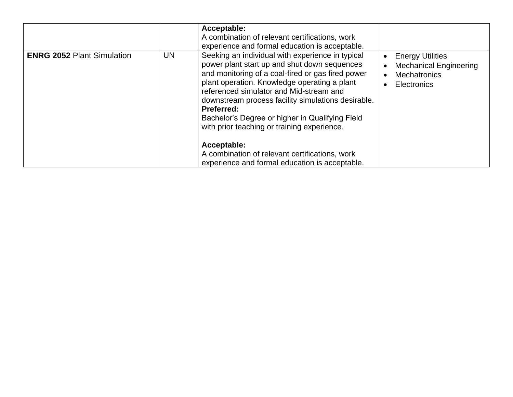|                                   |    | Acceptable:<br>A combination of relevant certifications, work<br>experience and formal education is acceptable.                                                                                                                                                                                                                                                                                                                                                                                                                           |                                                                                                |
|-----------------------------------|----|-------------------------------------------------------------------------------------------------------------------------------------------------------------------------------------------------------------------------------------------------------------------------------------------------------------------------------------------------------------------------------------------------------------------------------------------------------------------------------------------------------------------------------------------|------------------------------------------------------------------------------------------------|
| <b>ENRG 2052 Plant Simulation</b> | UN | Seeking an individual with experience in typical<br>power plant start up and shut down sequences<br>and monitoring of a coal-fired or gas fired power<br>plant operation. Knowledge operating a plant<br>referenced simulator and Mid-stream and<br>downstream process facility simulations desirable.<br>Preferred:<br>Bachelor's Degree or higher in Qualifying Field<br>with prior teaching or training experience.<br>Acceptable:<br>A combination of relevant certifications, work<br>experience and formal education is acceptable. | <b>Energy Utilities</b><br><b>Mechanical Engineering</b><br><b>Mechatronics</b><br>Electronics |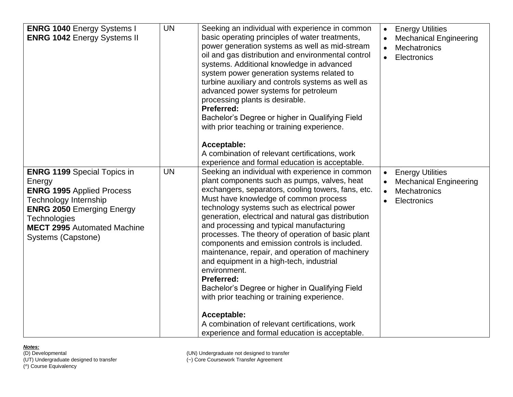| <b>ENRG 1040 Energy Systems I</b><br><b>ENRG 1042 Energy Systems II</b>                                                                                                                                                                 | <b>UN</b> | Seeking an individual with experience in common<br>basic operating principles of water treatments,<br>power generation systems as well as mid-stream<br>oil and gas distribution and environmental control<br>systems. Additional knowledge in advanced<br>system power generation systems related to<br>turbine auxiliary and controls systems as well as<br>advanced power systems for petroleum<br>processing plants is desirable.<br><b>Preferred:</b><br>Bachelor's Degree or higher in Qualifying Field<br>with prior teaching or training experience.<br>Acceptable:<br>A combination of relevant certifications, work<br>experience and formal education is acceptable.                                                                                                                                 | <b>Energy Utilities</b><br>$\bullet$<br><b>Mechanical Engineering</b><br>Mechatronics<br>Electronics<br>$\bullet$ |
|-----------------------------------------------------------------------------------------------------------------------------------------------------------------------------------------------------------------------------------------|-----------|-----------------------------------------------------------------------------------------------------------------------------------------------------------------------------------------------------------------------------------------------------------------------------------------------------------------------------------------------------------------------------------------------------------------------------------------------------------------------------------------------------------------------------------------------------------------------------------------------------------------------------------------------------------------------------------------------------------------------------------------------------------------------------------------------------------------|-------------------------------------------------------------------------------------------------------------------|
| <b>ENRG 1199 Special Topics in</b><br>Energy<br><b>ENRG 1995 Applied Process</b><br>Technology Internship<br><b>ENRG 2050 Emerging Energy</b><br><b>Technologies</b><br><b>MECT 2995 Automated Machine</b><br><b>Systems (Capstone)</b> | <b>UN</b> | Seeking an individual with experience in common<br>plant components such as pumps, valves, heat<br>exchangers, separators, cooling towers, fans, etc.<br>Must have knowledge of common process<br>technology systems such as electrical power<br>generation, electrical and natural gas distribution<br>and processing and typical manufacturing<br>processes. The theory of operation of basic plant<br>components and emission controls is included.<br>maintenance, repair, and operation of machinery<br>and equipment in a high-tech, industrial<br>environment.<br><b>Preferred:</b><br>Bachelor's Degree or higher in Qualifying Field<br>with prior teaching or training experience.<br>Acceptable:<br>A combination of relevant certifications, work<br>experience and formal education is acceptable. | <b>Energy Utilities</b><br>$\bullet$<br><b>Mechanical Engineering</b><br>Mechatronics<br>$\bullet$<br>Electronics |

(^) Course Equivalency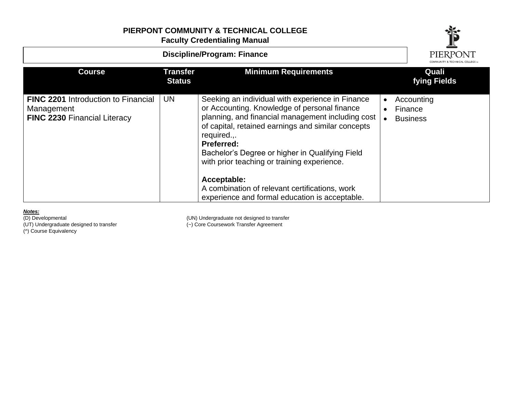# **PIERPONT COMMUNITY & TECHNICAL COLLEGE**

**Faculty Credentialing Manual**



*Notes:* (UT) Undergraduate designed to transfer (~) Core Coursework Transfer Agreement

(^) Course Equivalency

(UN) Undergraduate not designed to transfer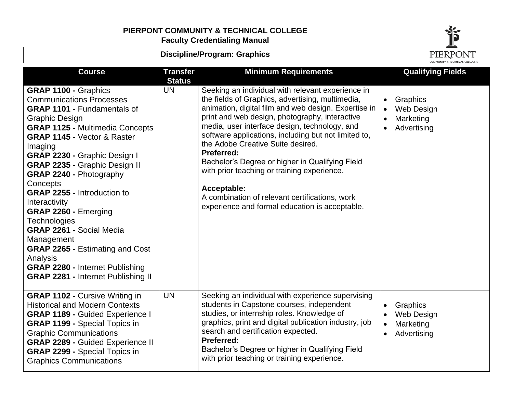# **PIERPONT COMMUNITY & TECHNICAL COLLEGE**

**Faculty Credentialing Manual**



| <b>Discipline/Program: Graphics</b>                                                                                                                                                                                                                                                                                                                                                                                                                                                                                                                                                                                                             |                                  | PIERPONT                                                                                                                                                                                                                                                                                                                                                                                                                                                                                                                                                                                                |                        |                                                           |
|-------------------------------------------------------------------------------------------------------------------------------------------------------------------------------------------------------------------------------------------------------------------------------------------------------------------------------------------------------------------------------------------------------------------------------------------------------------------------------------------------------------------------------------------------------------------------------------------------------------------------------------------------|----------------------------------|---------------------------------------------------------------------------------------------------------------------------------------------------------------------------------------------------------------------------------------------------------------------------------------------------------------------------------------------------------------------------------------------------------------------------------------------------------------------------------------------------------------------------------------------------------------------------------------------------------|------------------------|-----------------------------------------------------------|
| <b>Course</b>                                                                                                                                                                                                                                                                                                                                                                                                                                                                                                                                                                                                                                   | <b>Transfer</b><br><b>Status</b> | <b>Minimum Requirements</b>                                                                                                                                                                                                                                                                                                                                                                                                                                                                                                                                                                             |                        | <b>Qualifying Fields</b>                                  |
| <b>GRAP 1100 - Graphics</b><br><b>Communications Processes</b><br><b>GRAP 1101 - Fundamentals of</b><br><b>Graphic Design</b><br><b>GRAP 1125 - Multimedia Concepts</b><br><b>GRAP 1145 - Vector &amp; Raster</b><br>Imaging<br>GRAP 2230 - Graphic Design I<br><b>GRAP 2235 - Graphic Design II</b><br><b>GRAP 2240 - Photography</b><br>Concepts<br><b>GRAP 2255 - Introduction to</b><br>Interactivity<br>GRAP 2260 - Emerging<br><b>Technologies</b><br><b>GRAP 2261 - Social Media</b><br>Management<br><b>GRAP 2265 - Estimating and Cost</b><br>Analysis<br>GRAP 2280 - Internet Publishing<br><b>GRAP 2281 - Internet Publishing II</b> | <b>UN</b>                        | Seeking an individual with relevant experience in<br>the fields of Graphics, advertising, multimedia,<br>animation, digital film and web design. Expertise in<br>print and web design, photography, interactive<br>media, user interface design, technology, and<br>software applications, including but not limited to,<br>the Adobe Creative Suite desired.<br><b>Preferred:</b><br>Bachelor's Degree or higher in Qualifying Field<br>with prior teaching or training experience.<br>Acceptable:<br>A combination of relevant certifications, work<br>experience and formal education is acceptable. | $\bullet$<br>$\bullet$ | Graphics<br>Web Design<br>Marketing<br>Advertising        |
| <b>GRAP 1102 - Cursive Writing in</b><br><b>Historical and Modern Contexts</b><br>GRAP 1189 - Guided Experience I<br><b>GRAP 1199 - Special Topics in</b><br><b>Graphic Communications</b><br><b>GRAP 2289 - Guided Experience II</b><br><b>GRAP 2299 - Special Topics in</b><br><b>Graphics Communications</b>                                                                                                                                                                                                                                                                                                                                 | <b>UN</b>                        | Seeking an individual with experience supervising<br>students in Capstone courses, independent<br>studies, or internship roles. Knowledge of<br>graphics, print and digital publication industry, job<br>search and certification expected.<br><b>Preferred:</b><br>Bachelor's Degree or higher in Qualifying Field<br>with prior teaching or training experience.                                                                                                                                                                                                                                      | $\bullet$<br>$\bullet$ | Graphics<br><b>Web Design</b><br>Marketing<br>Advertising |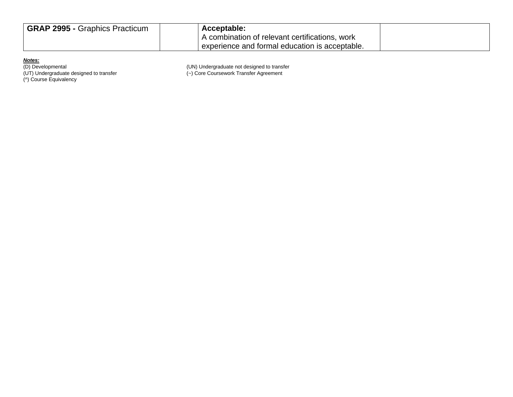| <b>GRAP 2995 - Graphics Practicum</b> | Acceptable:                                      |  |
|---------------------------------------|--------------------------------------------------|--|
|                                       | \combination of relevant certifications,<br>work |  |
|                                       | experience and formal education is acceptable.   |  |

(^) Course Equivalency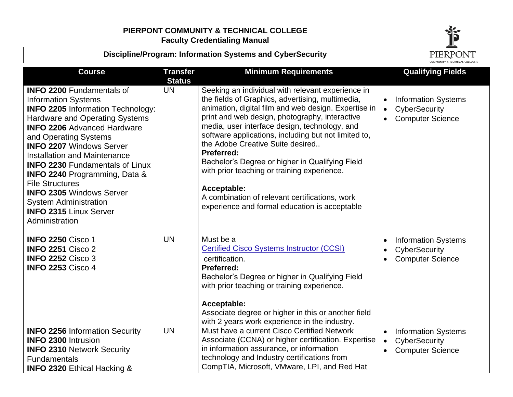



| <b>Course</b>                                                                                                                                                                                                                                                                                                                                                                                                                                                                                                                      | <b>Transfer</b><br><b>Status</b> | <b>Minimum Requirements</b>                                                                                                                                                                                                                                                                                                                                                                                                                                                                                                                                                                           | COMMUNITY & TECHNICAL COLLEGETM<br><b>Qualifying Fields</b>                                                   |
|------------------------------------------------------------------------------------------------------------------------------------------------------------------------------------------------------------------------------------------------------------------------------------------------------------------------------------------------------------------------------------------------------------------------------------------------------------------------------------------------------------------------------------|----------------------------------|-------------------------------------------------------------------------------------------------------------------------------------------------------------------------------------------------------------------------------------------------------------------------------------------------------------------------------------------------------------------------------------------------------------------------------------------------------------------------------------------------------------------------------------------------------------------------------------------------------|---------------------------------------------------------------------------------------------------------------|
| <b>INFO 2200 Fundamentals of</b><br><b>Information Systems</b><br><b>INFO 2205 Information Technology:</b><br><b>Hardware and Operating Systems</b><br><b>INFO 2206 Advanced Hardware</b><br>and Operating Systems<br><b>INFO 2207 Windows Server</b><br><b>Installation and Maintenance</b><br><b>INFO 2230 Fundamentals of Linux</b><br><b>INFO 2240 Programming, Data &amp;</b><br><b>File Structures</b><br><b>INFO 2305 Windows Server</b><br><b>System Administration</b><br><b>INFO 2315 Linux Server</b><br>Administration | <b>UN</b>                        | Seeking an individual with relevant experience in<br>the fields of Graphics, advertising, multimedia,<br>animation, digital film and web design. Expertise in<br>print and web design, photography, interactive<br>media, user interface design, technology, and<br>software applications, including but not limited to,<br>the Adobe Creative Suite desired<br><b>Preferred:</b><br>Bachelor's Degree or higher in Qualifying Field<br>with prior teaching or training experience.<br>Acceptable:<br>A combination of relevant certifications, work<br>experience and formal education is acceptable | <b>Information Systems</b><br>$\bullet$<br>CyberSecurity<br>$\bullet$<br><b>Computer Science</b><br>$\bullet$ |
| <b>INFO 2250 Cisco 1</b><br><b>INFO 2251 Cisco 2</b><br><b>INFO 2252 Cisco 3</b><br><b>INFO 2253 Cisco 4</b>                                                                                                                                                                                                                                                                                                                                                                                                                       | <b>UN</b>                        | Must be a<br><b>Certified Cisco Systems Instructor (CCSI)</b><br>certification.<br><b>Preferred:</b><br>Bachelor's Degree or higher in Qualifying Field<br>with prior teaching or training experience.<br>Acceptable:<br>Associate degree or higher in this or another field<br>with 2 years work experience in the industry.                                                                                                                                                                                                                                                                         | <b>Information Systems</b><br>CyberSecurity<br><b>Computer Science</b><br>$\bullet$                           |
| <b>INFO 2256 Information Security</b><br><b>INFO 2300 Intrusion</b><br><b>INFO 2310 Network Security</b><br><b>Fundamentals</b><br><b>INFO 2320 Ethical Hacking &amp;</b>                                                                                                                                                                                                                                                                                                                                                          | <b>UN</b>                        | Must have a current Cisco Certified Network<br>Associate (CCNA) or higher certification. Expertise<br>in information assurance, or information<br>technology and Industry certifications from<br>CompTIA, Microsoft, VMware, LPI, and Red Hat                                                                                                                                                                                                                                                                                                                                                         | <b>Information Systems</b><br>$\bullet$<br>CyberSecurity<br>$\bullet$<br><b>Computer Science</b><br>$\bullet$ |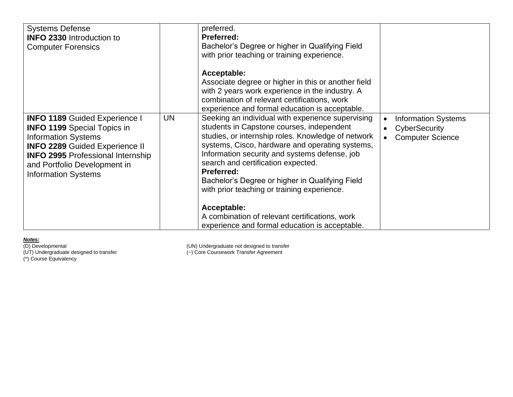| <b>Systems Defense</b><br><b>INFO 2330</b> Introduction to<br><b>Computer Forensics</b>                                                                                                                                                                     |           | preferred.<br><b>Preferred:</b><br>Bachelor's Degree or higher in Qualifying Field<br>with prior teaching or training experience.<br>Acceptable:<br>Associate degree or higher in this or another field<br>with 2 years work experience in the industry. A<br>combination of relevant certifications, work<br>experience and formal education is acceptable.                                                                                                                                                                             |                                                                        |
|-------------------------------------------------------------------------------------------------------------------------------------------------------------------------------------------------------------------------------------------------------------|-----------|------------------------------------------------------------------------------------------------------------------------------------------------------------------------------------------------------------------------------------------------------------------------------------------------------------------------------------------------------------------------------------------------------------------------------------------------------------------------------------------------------------------------------------------|------------------------------------------------------------------------|
| <b>INFO 1189 Guided Experience I</b><br><b>INFO 1199</b> Special Topics in<br><b>Information Systems</b><br><b>INFO 2289 Guided Experience II</b><br><b>INFO 2995 Professional Internship</b><br>and Portfolio Development in<br><b>Information Systems</b> | <b>UN</b> | Seeking an individual with experience supervising<br>students in Capstone courses, independent<br>studies, or internship roles. Knowledge of network<br>systems, Cisco, hardware and operating systems,<br>Information security and systems defense, job<br>search and certification expected.<br><b>Preferred:</b><br>Bachelor's Degree or higher in Qualifying Field<br>with prior teaching or training experience.<br>Acceptable:<br>A combination of relevant certifications, work<br>experience and formal education is acceptable. | <b>Information Systems</b><br>CyberSecurity<br><b>Computer Science</b> |

(^) Course Equivalency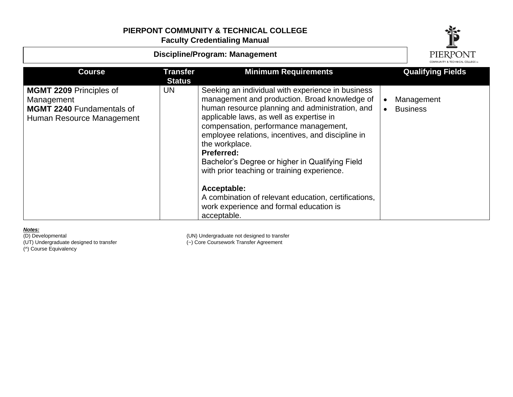**Discipline/Program: Management**PIERPONT **Course Transfer Minimum Requirements Qualifying Fields Status MGMT 2209** Principles of UN Seeking an individual with experience in business management and production. Broad knowledge of Management • Management **MGMT 2240** Fundamentals of human resource planning and administration, and • Business applicable laws, as well as expertise in Human Resource Management compensation, performance management, employee relations, incentives, and discipline in the workplace. **Preferred:** Bachelor's Degree or higher in Qualifying Field with prior teaching or training experience. **Acceptable:** A combination of relevant education, certifications,

work experience and formal education is acceptable.

*Notes:* (^) Course Equivalency

(D) Developmental (UN) Undergraduate not designed to transfer<br>(UT) Undergraduate designed to transfer (UT) Core Coursework Transfer Agreement (~) Core Coursework Transfer Agreement

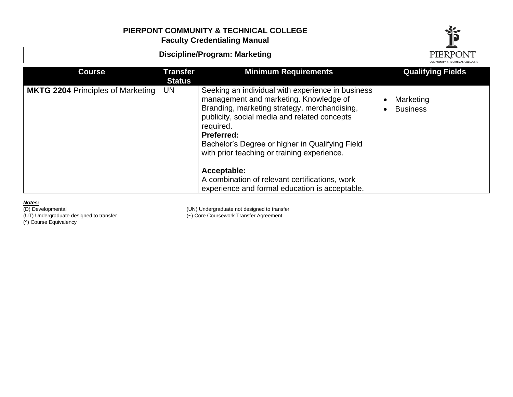

| <b>Discipline/Program: Marketing</b>     | PIERPONT                         |                                                                                                                                                                                                                                                                                                                                                                                                                                                    |                              |
|------------------------------------------|----------------------------------|----------------------------------------------------------------------------------------------------------------------------------------------------------------------------------------------------------------------------------------------------------------------------------------------------------------------------------------------------------------------------------------------------------------------------------------------------|------------------------------|
| <b>Course</b>                            | <b>Transfer</b><br><b>Status</b> | <b>Minimum Requirements</b>                                                                                                                                                                                                                                                                                                                                                                                                                        | <b>Qualifying Fields</b>     |
| <b>MKTG 2204 Principles of Marketing</b> | UN                               | Seeking an individual with experience in business<br>management and marketing. Knowledge of<br>Branding, marketing strategy, merchandising,<br>publicity, social media and related concepts<br>required.<br><b>Preferred:</b><br>Bachelor's Degree or higher in Qualifying Field<br>with prior teaching or training experience.<br>Acceptable:<br>A combination of relevant certifications, work<br>experience and formal education is acceptable. | Marketing<br><b>Business</b> |

**Notes:**<br>(D) Developmental

(^) Course Equivalency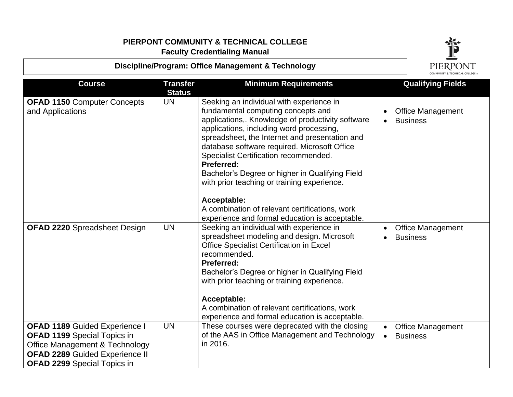## **Discipline/Program: Office Management & Technology**



| <b>Course</b>                                                                                                                                                                                          | <b>Transfer</b> | <b>Minimum Requirements</b>                                                                                                                                                                                                                                                                                                                                                                                                                                                                                 | <b>Qualifying Fields</b>                                              |
|--------------------------------------------------------------------------------------------------------------------------------------------------------------------------------------------------------|-----------------|-------------------------------------------------------------------------------------------------------------------------------------------------------------------------------------------------------------------------------------------------------------------------------------------------------------------------------------------------------------------------------------------------------------------------------------------------------------------------------------------------------------|-----------------------------------------------------------------------|
|                                                                                                                                                                                                        | <b>Status</b>   |                                                                                                                                                                                                                                                                                                                                                                                                                                                                                                             |                                                                       |
| <b>OFAD 1150 Computer Concepts</b><br>and Applications                                                                                                                                                 | UN              | Seeking an individual with experience in<br>fundamental computing concepts and<br>applications,. Knowledge of productivity software<br>applications, including word processing,<br>spreadsheet, the Internet and presentation and<br>database software required. Microsoft Office<br>Specialist Certification recommended.<br>Preferred:<br>Bachelor's Degree or higher in Qualifying Field<br>with prior teaching or training experience.<br>Acceptable:<br>A combination of relevant certifications, work | <b>Office Management</b><br><b>Business</b>                           |
| <b>OFAD 2220 Spreadsheet Design</b>                                                                                                                                                                    | <b>UN</b>       | experience and formal education is acceptable.<br>Seeking an individual with experience in<br>spreadsheet modeling and design. Microsoft<br><b>Office Specialist Certification in Excel</b><br>recommended.<br><b>Preferred:</b><br>Bachelor's Degree or higher in Qualifying Field<br>with prior teaching or training experience.<br>Acceptable:<br>A combination of relevant certifications, work<br>experience and formal education is acceptable.                                                       | <b>Office Management</b><br><b>Business</b>                           |
| <b>OFAD 1189 Guided Experience I</b><br><b>OFAD 1199</b> Special Topics in<br><b>Office Management &amp; Technology</b><br><b>OFAD 2289 Guided Experience II</b><br><b>OFAD 2299</b> Special Topics in | <b>UN</b>       | These courses were deprecated with the closing<br>of the AAS in Office Management and Technology<br>in 2016.                                                                                                                                                                                                                                                                                                                                                                                                | <b>Office Management</b><br>$\bullet$<br><b>Business</b><br>$\bullet$ |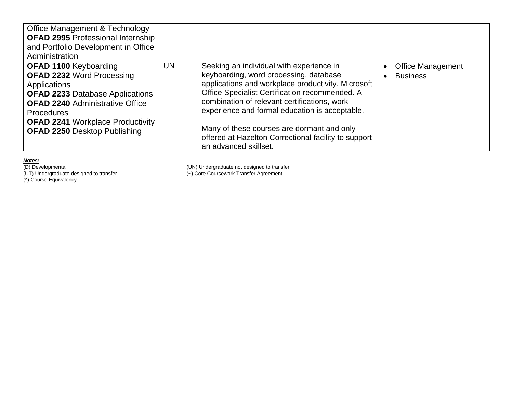| <b>Office Management &amp; Technology</b><br><b>OFAD 2995 Professional Internship</b><br>and Portfolio Development in Office<br>Administration                                                                                                                                     |           |                                                                                                                                                                                                                                                                                                                                                                                                                             |                                             |
|------------------------------------------------------------------------------------------------------------------------------------------------------------------------------------------------------------------------------------------------------------------------------------|-----------|-----------------------------------------------------------------------------------------------------------------------------------------------------------------------------------------------------------------------------------------------------------------------------------------------------------------------------------------------------------------------------------------------------------------------------|---------------------------------------------|
| <b>OFAD 1100 Keyboarding</b><br><b>OFAD 2232 Word Processing</b><br><b>Applications</b><br><b>OFAD 2233 Database Applications</b><br><b>OFAD 2240 Administrative Office</b><br><b>Procedures</b><br><b>OFAD 2241 Workplace Productivity</b><br><b>OFAD 2250 Desktop Publishing</b> | <b>UN</b> | Seeking an individual with experience in<br>keyboarding, word processing, database<br>applications and workplace productivity. Microsoft<br>Office Specialist Certification recommended. A<br>combination of relevant certifications, work<br>experience and formal education is acceptable.<br>Many of these courses are dormant and only<br>offered at Hazelton Correctional facility to support<br>an advanced skillset. | <b>Office Management</b><br><b>Business</b> |

(UT) Undergraduate designed to transfer (~) Core Coursework Transfer Agreement (^) Course Equivalency

(D) Developmental (UN) Undergraduate not designed to transfer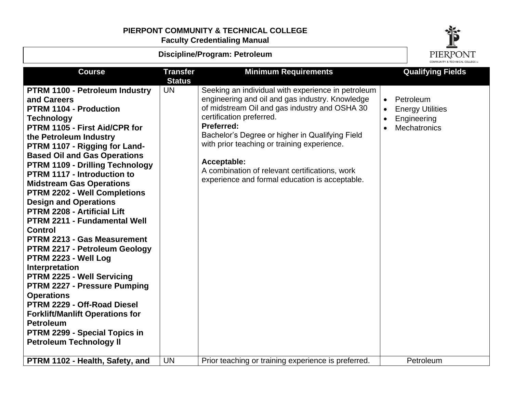# **PIERPONT COMMUNITY & TECHNICAL COLLEGE**

**Faculty Credentialing Manual**



| Discipline/Program: Petroleum                                                                                                                                                                                                                                                                                                                                                                                                                                                                                                                                                                                                                                                                                                                                                                                                                                                         |                                  |                                                                                                                                                                                                                                                                                                                                                                                                                              |                        | PIERPONT                                                                   |
|---------------------------------------------------------------------------------------------------------------------------------------------------------------------------------------------------------------------------------------------------------------------------------------------------------------------------------------------------------------------------------------------------------------------------------------------------------------------------------------------------------------------------------------------------------------------------------------------------------------------------------------------------------------------------------------------------------------------------------------------------------------------------------------------------------------------------------------------------------------------------------------|----------------------------------|------------------------------------------------------------------------------------------------------------------------------------------------------------------------------------------------------------------------------------------------------------------------------------------------------------------------------------------------------------------------------------------------------------------------------|------------------------|----------------------------------------------------------------------------|
| <b>Course</b>                                                                                                                                                                                                                                                                                                                                                                                                                                                                                                                                                                                                                                                                                                                                                                                                                                                                         | <b>Transfer</b><br><b>Status</b> | <b>Minimum Requirements</b>                                                                                                                                                                                                                                                                                                                                                                                                  |                        | <b>Qualifying Fields</b>                                                   |
| PTRM 1100 - Petroleum Industry<br>and Careers<br><b>PTRM 1104 - Production</b><br><b>Technology</b><br>PTRM 1105 - First Aid/CPR for<br>the Petroleum Industry<br>PTRM 1107 - Rigging for Land-<br><b>Based Oil and Gas Operations</b><br><b>PTRM 1109 - Drilling Technology</b><br>PTRM 1117 - Introduction to<br><b>Midstream Gas Operations</b><br><b>PTRM 2202 - Well Completions</b><br><b>Design and Operations</b><br><b>PTRM 2208 - Artificial Lift</b><br>PTRM 2211 - Fundamental Well<br><b>Control</b><br>PTRM 2213 - Gas Measurement<br>PTRM 2217 - Petroleum Geology<br>PTRM 2223 - Well Log<br>Interpretation<br>PTRM 2225 - Well Servicing<br><b>PTRM 2227 - Pressure Pumping</b><br><b>Operations</b><br>PTRM 2229 - Off-Road Diesel<br><b>Forklift/Manlift Operations for</b><br><b>Petroleum</b><br>PTRM 2299 - Special Topics in<br><b>Petroleum Technology II</b> | <b>UN</b>                        | Seeking an individual with experience in petroleum<br>engineering and oil and gas industry. Knowledge<br>of midstream Oil and gas industry and OSHA 30<br>certification preferred.<br><b>Preferred:</b><br>Bachelor's Degree or higher in Qualifying Field<br>with prior teaching or training experience.<br>Acceptable:<br>A combination of relevant certifications, work<br>experience and formal education is acceptable. | $\bullet$<br>$\bullet$ | Petroleum<br><b>Energy Utilities</b><br>Engineering<br><b>Mechatronics</b> |
| PTRM 1102 - Health, Safety, and                                                                                                                                                                                                                                                                                                                                                                                                                                                                                                                                                                                                                                                                                                                                                                                                                                                       | <b>UN</b>                        | Prior teaching or training experience is preferred.                                                                                                                                                                                                                                                                                                                                                                          |                        | Petroleum                                                                  |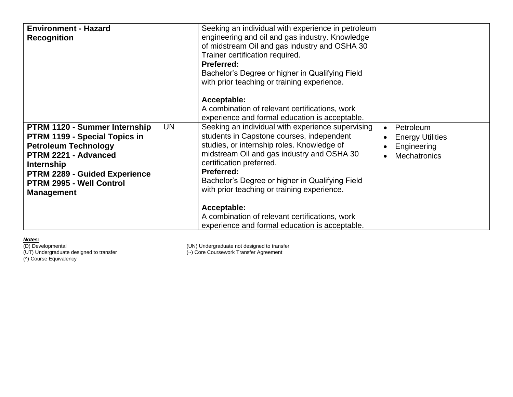| <b>Environment - Hazard</b><br><b>Recognition</b>                                                                                                                                                                                          |           | Seeking an individual with experience in petroleum<br>engineering and oil and gas industry. Knowledge<br>of midstream Oil and gas industry and OSHA 30<br>Trainer certification required.<br><b>Preferred:</b><br>Bachelor's Degree or higher in Qualifying Field<br>with prior teaching or training experience.<br>Acceptable:<br>A combination of relevant certifications, work<br>experience and formal education is acceptable.                       |                                                                                         |
|--------------------------------------------------------------------------------------------------------------------------------------------------------------------------------------------------------------------------------------------|-----------|-----------------------------------------------------------------------------------------------------------------------------------------------------------------------------------------------------------------------------------------------------------------------------------------------------------------------------------------------------------------------------------------------------------------------------------------------------------|-----------------------------------------------------------------------------------------|
| PTRM 1120 - Summer Internship<br><b>PTRM 1199 - Special Topics in</b><br><b>Petroleum Technology</b><br>PTRM 2221 - Advanced<br><b>Internship</b><br><b>PTRM 2289 - Guided Experience</b><br>PTRM 2995 - Well Control<br><b>Management</b> | <b>UN</b> | Seeking an individual with experience supervising<br>students in Capstone courses, independent<br>studies, or internship roles. Knowledge of<br>midstream Oil and gas industry and OSHA 30<br>certification preferred.<br>Preferred:<br>Bachelor's Degree or higher in Qualifying Field<br>with prior teaching or training experience.<br>Acceptable:<br>A combination of relevant certifications, work<br>experience and formal education is acceptable. | Petroleum<br>$\bullet$<br><b>Energy Utilities</b><br>Engineering<br><b>Mechatronics</b> |

(^) Course Equivalency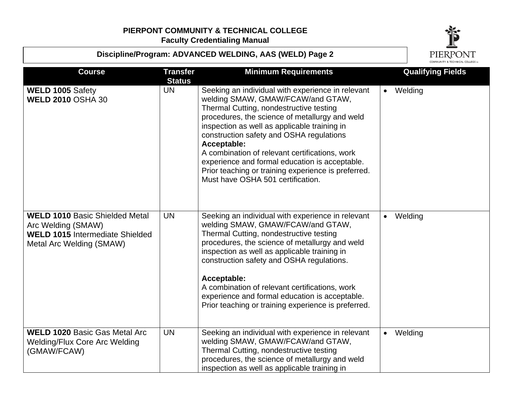



| <b>Course</b>                                                                                                                     | <b>Transfer</b><br><b>Status</b> | <b>Minimum Requirements</b>                                                                                                                                                                                                                                                                                                                                                                                                                                                                    | <b>Qualifying Fields</b> |
|-----------------------------------------------------------------------------------------------------------------------------------|----------------------------------|------------------------------------------------------------------------------------------------------------------------------------------------------------------------------------------------------------------------------------------------------------------------------------------------------------------------------------------------------------------------------------------------------------------------------------------------------------------------------------------------|--------------------------|
| WELD 1005 Safety<br><b>WELD 2010 OSHA 30</b>                                                                                      | UN                               | Seeking an individual with experience in relevant<br>welding SMAW, GMAW/FCAW/and GTAW,<br>Thermal Cutting, nondestructive testing<br>procedures, the science of metallurgy and weld<br>inspection as well as applicable training in<br>construction safety and OSHA regulations<br>Acceptable:<br>A combination of relevant certifications, work<br>experience and formal education is acceptable.<br>Prior teaching or training experience is preferred.<br>Must have OSHA 501 certification. | • Welding                |
| <b>WELD 1010 Basic Shielded Metal</b><br>Arc Welding (SMAW)<br><b>WELD 1015</b> Intermediate Shielded<br>Metal Arc Welding (SMAW) | <b>UN</b>                        | Seeking an individual with experience in relevant<br>welding SMAW, GMAW/FCAW/and GTAW,<br>Thermal Cutting, nondestructive testing<br>procedures, the science of metallurgy and weld<br>inspection as well as applicable training in<br>construction safety and OSHA regulations.<br>Acceptable:<br>A combination of relevant certifications, work<br>experience and formal education is acceptable.<br>Prior teaching or training experience is preferred.                                     | Welding<br>$\bullet$     |
| <b>WELD 1020 Basic Gas Metal Arc</b><br><b>Welding/Flux Core Arc Welding</b><br>(GMAW/FCAW)                                       | <b>UN</b>                        | Seeking an individual with experience in relevant<br>welding SMAW, GMAW/FCAW/and GTAW,<br>Thermal Cutting, nondestructive testing<br>procedures, the science of metallurgy and weld<br>inspection as well as applicable training in                                                                                                                                                                                                                                                            | Welding<br>$\bullet$     |